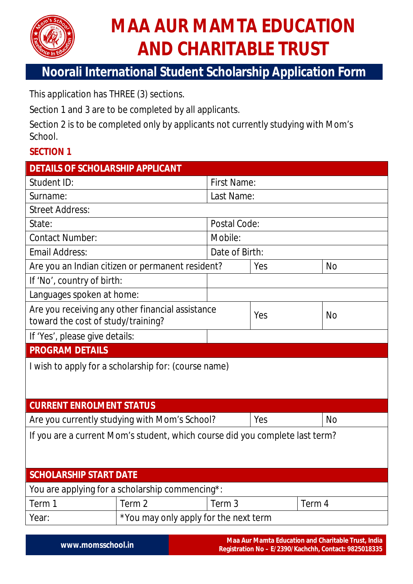

# **MAA AUR MAMTA EDUCATION AND CHARITABLE TRUST**

## **Noorali International Student Scholarship Application Form**

This application has THREE (3) sections.

Section 1 and 3 are to be completed by all applicants.

Section 2 is to be completed only by applicants not currently studying with Mom's School.

### **SECTION 1**

| <b>DETAILS OF SCHOLARSHIP APPLICANT</b>                                                                             |                                                  |                    |           |           |  |  |
|---------------------------------------------------------------------------------------------------------------------|--------------------------------------------------|--------------------|-----------|-----------|--|--|
| Student ID:                                                                                                         |                                                  | <b>First Name:</b> |           |           |  |  |
| Surname:                                                                                                            |                                                  | Last Name:         |           |           |  |  |
| <b>Street Address:</b>                                                                                              |                                                  |                    |           |           |  |  |
| State:                                                                                                              |                                                  | Postal Code:       |           |           |  |  |
| <b>Contact Number:</b>                                                                                              | Mobile:                                          |                    |           |           |  |  |
| <b>Email Address:</b>                                                                                               |                                                  | Date of Birth:     |           |           |  |  |
|                                                                                                                     | Are you an Indian citizen or permanent resident? |                    | Yes       | <b>No</b> |  |  |
| If 'No', country of birth:                                                                                          |                                                  |                    |           |           |  |  |
|                                                                                                                     |                                                  |                    |           |           |  |  |
| Are you receiving any other financial assistance                                                                    |                                                  |                    |           | <b>No</b> |  |  |
| toward the cost of study/training?                                                                                  |                                                  |                    |           |           |  |  |
|                                                                                                                     |                                                  |                    |           |           |  |  |
| <b>PROGRAM DETAILS</b>                                                                                              |                                                  |                    |           |           |  |  |
| I wish to apply for a scholarship for: (course name)                                                                |                                                  |                    |           |           |  |  |
|                                                                                                                     |                                                  |                    |           |           |  |  |
|                                                                                                                     |                                                  |                    |           |           |  |  |
| <b>CURRENT ENROLMENT STATUS</b>                                                                                     |                                                  |                    |           |           |  |  |
|                                                                                                                     |                                                  | Yes                | <b>No</b> |           |  |  |
| If you are a current Mom's student, which course did you complete last term?                                        |                                                  |                    |           |           |  |  |
|                                                                                                                     |                                                  |                    |           |           |  |  |
|                                                                                                                     |                                                  |                    |           |           |  |  |
| <b>SCHOLARSHIP START DATE</b>                                                                                       |                                                  |                    |           |           |  |  |
| You are applying for a scholarship commencing*:                                                                     |                                                  |                    |           |           |  |  |
| Term 1                                                                                                              | Term 2                                           | Term 3             |           | Term 4    |  |  |
| Year:                                                                                                               | *You may only apply for the next term            |                    |           |           |  |  |
| Languages spoken at home:<br>Yes<br>If 'Yes', please give details:<br>Are you currently studying with Mom's School? |                                                  |                    |           |           |  |  |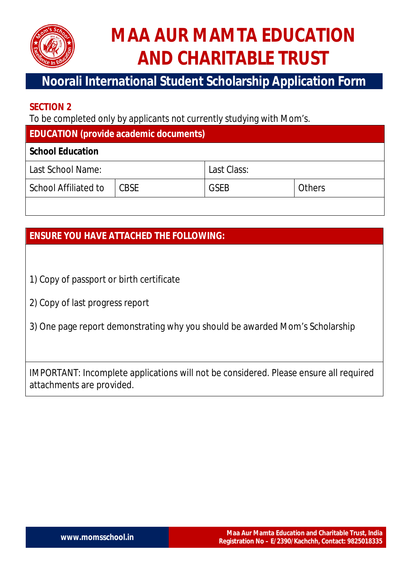

# **MAA AUR MAMTA EDUCATION AND CHARITABLE TRUST**

## **Noorali International Student Scholarship Application Form**

#### **SECTION 2**

To be completed only by applicants not currently studying with Mom's.

| <b>EDUCATION (provide academic documents)</b> |
|-----------------------------------------------|
|-----------------------------------------------|

#### **School Education**

| Last School Name:           |             | Last Class: |               |  |
|-----------------------------|-------------|-------------|---------------|--|
| <b>School Affiliated to</b> | <b>CBSE</b> | <b>GSEB</b> | <b>Others</b> |  |

### **ENSURE YOU HAVE ATTACHED THE FOLLOWING:**

- 1) Copy of passport or birth certificate
- 2) Copy of last progress report
- 3) One page report demonstrating why you should be awarded Mom's Scholarship

IMPORTANT: Incomplete applications will not be considered. Please ensure all required attachments are provided.